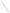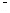# **Consumer Factsheet on: PICLORAM**

[List of Contaminants](http://www.epa.gov/safewater/hfacts.html) 

 As part of the Drinking Water and Health pages, this fact sheet is part of a larger publication: **National Primary Drinking Water Regulations** 

 States Environmental Protection Agency (EPA). This is a factsheet about a chemical that may be found in some public or private drinking water supplies. It may cause health problems if found in amounts greater than the health standard set by the United

### **What is Picloram and how is it used?**

Picloram is a crystalline organic solid with a chlorine-like odor. It is used in salt form as a systemic herbicide for controlling annual weeds on crops, and in combination with 2,4-D or 2,4,5-T against perennials on non-croplands for brush control. Picloram is used to control bitterweed, knapweed, leafy spurge, locoweed, larkspur, mesquite, prickly pear, and snakeweed on rangeland in the western states.

 The list of trade names given below may help you find out whether you are using this chemical at home or work.

#### **Trade Names and Synonyms:**

 "Agent White" Tordon

## **Why is Picloram being Regulated?**

 based solely on possible health risks and exposure, are called Maximum Contaminant Level Goals. In 1974, Congress passed the Safe Drinking Water Act. This law requires EPA to determine safe levels of chemicals in drinking water which do or may cause health problems. These non-enforceable levels,

 The MCLG for picloram has been set at 0.5 parts per million (ppm) because EPA believes this level of protection would not cause any of the potential health problems described below.

 Based on this MCLG, EPA has set an enforceable standard called a Maximum Contaminant Level (MCL). MCLs are set as close to the MCLGs as possible, considering the ability of public water systems to detect and remove contaminants using suitable treatment technologies.

 should it occur in drinking water. The MCL has also been set at 0.5 ppm because EPA believes, given present technology and resources, this is the lowest level to which water systems can reasonably be required to remove this contaminant

These drinking water standards and the regulations for ensuring these standards are met, are called National Primary Drinking Water Regulations. All public water supplies must abide by these regulations.

## **What are the Health Effects?**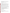Short-term: EPA has found picloram to potentially cause the following health effects when people are exposed to it at levels above the MCL for relatively short periods of time: damage to central nervous system, weakness, diarrhea, weight loss.

 above the MCL: liver damage. Long-term: Picloram has the potential to cause the following effects from a lifetime exposure at levels

How much Picloram is produced and released to the environment?

EPA estimates that 300,000 lbs. of picloram were produced in the US in 1982.

 Picloram is released to the environment primarily from its application as a herbicide, and also during its production and handling.

#### **What happens to Picloram when it is released to the environment?**

 groundwater, and has in fact been detected there. It is degraded in soil and water mainly by microbes. Picloram is the most persistent of its family of herbicides. It does not adhere to soil and so may leach to Picloram has very little tendency to accumulate in aquatic life.

#### **How will Picloram be Detected in and Removed from My Drinking Water?**

 supplier to collect water samples every 3 months for one year and analyze them to find out if picloram is contaminant. The regulation for picloram became effective in 1994. Between 1993 nd 1995, EPA required your water present above 0.1 part per billion. If it is present above this level, the system must continue to monitor this

If contaminant levels are found to be consistently above the MCL, your water supplier must take steps to reduce the amount of picloram so that it is consistently below that level. The following treatment methods have been approved by EPA for removing picloram: Granular activated charcoal.

#### **How will I know if Picloram is in my drinking water?**

 If the levels of picloram exceed the MCL, 0.5 ppm, the system must notify the public via newspapers, be required to prevent serious risks to public health. radio, TV and other means. Additional actions, such as providing alternative drinking water supplies, may

#### **Drinking Water Standards:**

Mclg: 0.5 ppm

Mcl: 0.5 ppm

#### **Learn more about your drinking water!**

 protect and upgrade the supply of safe drinking water. Your water bill or telephone book's government listings are a good starting point. EPA strongly encourages people to learn more about their drinking water, and to support local efforts to